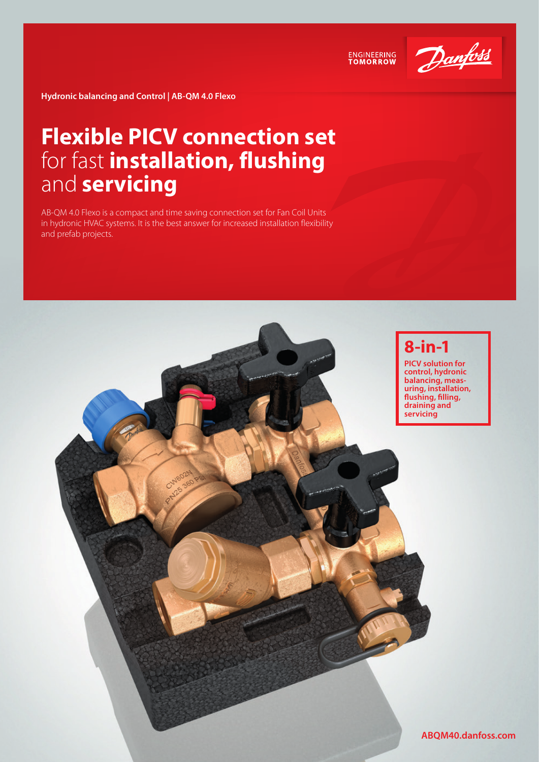

**ENGINEERING**<br>TOMORROW

**Hydronic balancing and Control | AB-QM 4.0 Flexo**

## **Flexible PICV connection set**  for fast **installation, flushing**  and **servicing**

AB-QM 4.0 Flexo is a compact and time saving connection set for Fan Coil Units in hydronic HVAC systems. It is the best answer for increased installation flexibility and prefab projects.